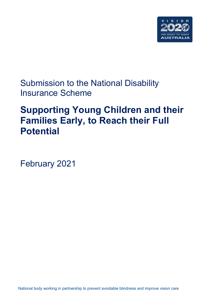

Submission to the National Disability Insurance Scheme

# **Supporting Young Children and their Families Early, to Reach their Full Potential**

February 2021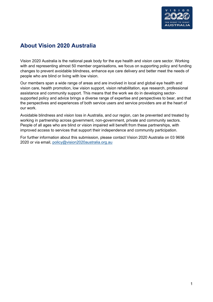

# **About Vision 2020 Australia**

Vision 2020 Australia is the national peak body for the eye health and vision care sector. Working with and representing almost 50 member organisations, we focus on supporting policy and funding changes to prevent avoidable blindness, enhance eye care delivery and better meet the needs of people who are blind or living with low vision.

Our members span a wide range of areas and are involved in local and global eye health and vision care, health promotion, low vision support, vision rehabilitation, eye research, professional assistance and community support. This means that the work we do in developing sectorsupported policy and advice brings a diverse range of expertise and perspectives to bear, and that the perspectives and experiences of both service users and service providers are at the heart of our work.

Avoidable blindness and vision loss in Australia, and our region, can be prevented and treated by working in partnership across government, non-government, private and community sectors. People of all ages who are blind or vision impaired will benefit from these partnerships, with improved access to services that support their independence and community participation.

For further information about this submission, please contact Vision 2020 Australia on 03 9656 2020 or via email, [policy@vision2020australia.org.au](mailto:policy@vision2020australia.org.au)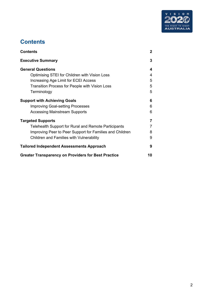

# <span id="page-2-0"></span>**Contents**

| Contents                                                   | 2  |
|------------------------------------------------------------|----|
| <b>Executive Summary</b>                                   | 3  |
| <b>General Questions</b>                                   | 4  |
| Optimising STEI for Children with Vision Loss              | 4  |
| Increasing Age Limit for ECEI Access                       | 5  |
| Transition Process for People with Vision Loss             | 5  |
| Terminology                                                | 5  |
| <b>Support with Achieving Goals</b>                        | 6  |
| <b>Improving Goal-setting Processes</b>                    | 6  |
| <b>Accessing Mainstream Supports</b>                       | 6  |
| <b>Targeted Supports</b>                                   |    |
| Telehealth Support for Rural and Remote Participants       | 7  |
| Improving Peer to Peer Support for Families and Children   | 8  |
| Children and Families with Vulnerability                   | 9  |
| <b>Tailored Independent Assessments Approach</b>           | 9  |
| <b>Greater Transparency on Providers for Best Practice</b> | 10 |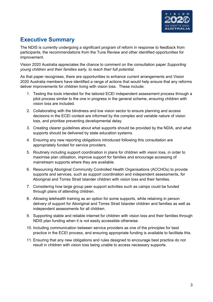

# <span id="page-3-0"></span>**Executive Summary**

The NDIS is currently undergoing a significant program of reform in response to feedback from participants, the recommendations from the Tune Review and other identified opportunities for improvement.

Vision 2020 Australia appreciates the chance to comment on the consultation paper *Supporting young children and their families early, to reach their full potential.*

As that paper recognises, there are opportunities to enhance current arrangements and Vision 2020 Australia members have identified a range of actions that would help ensure that any reforms deliver improvements for children living with vision loss. These include:

- 1. Testing the tools intended for the tailored ECEI independent assessment process through a pilot process similar to the one in progress in the general scheme, ensuring children with vision loss are included.
- 2. Collaborating with the blindness and low vision sector to ensure planning and access decisions in the ECEI context are informed by the complex and variable nature of vision loss, and prioritise preventing developmental delay.
- 3. Creating clearer guidelines about what supports should be provided by the NDIA, and what supports should be delivered by state education systems.
- 4. Ensuring any new reporting obligations introduced following this consultation are appropriately funded for service providers.
- 5. Routinely including support coordination in plans for children with vision loss, in order to maximise plan utilisation, improve support for families and encourage accessing of mainstream supports where they are available.
- 6. Resourcing Aboriginal Community Controlled Health Organisations (ACCHOs) to provide supports and services, such as support coordination and independent assessments, for Aboriginal and Torres Strait Islander children with vision loss and their families.
- 7. Considering how large group peer support activities such as camps could be funded through plans of attending children.
- 8. Allowing telehealth training as an option for some supports, while retaining in person delivery of support for Aboriginal and Torres Strait Islander children and families as well as independent assessments for all children.
- 9. Supporting stable and reliable internet for children with vision loss and their families through NDIS plan funding when it is not easily accessible otherwise.
- 10. Including communication between service providers as one of the principles for best practice in the ECEI process, and ensuring appropriate funding is available to facilitate this.
- 11. Ensuring that any new obligations and rules designed to encourage best practice do not result in children with vision loss being unable to access necessary supports.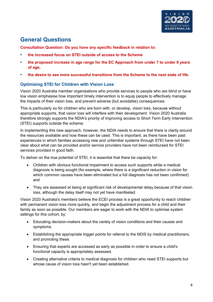

# <span id="page-4-0"></span>**General Questions**

**Consultation Question: Do you have any specific feedback in relation to:**

- **the increased focus on STEI outside of access to the Scheme**
- **the proposed increase in age range for the EC Approach from under 7 to under 9 years of age,**
- **the desire to see more successful transitions from the Scheme to the next state of life.**

# <span id="page-4-1"></span>**Optimising STEI for Children with Vision Loss**

Vision 2020 Australia member organisations who provide services to people who are blind or have low vision emphasise how important timely intervention is to equip people to effectively manage the impacts of their vision loss, and prevent adverse (but avoidable) consequences.

This is particularly so for children who are born with, or develop, vision loss, because without appropriate supports, that vision loss will interfere with their development. Vision 2020 Australia therefore strongly supports the NDIA's priority of improving access to Short Term Early Intervention (STEI) supports outside the scheme.

In implementing this new approach, however, the NDIA needs to ensure that there is clarity around the resources available and how these can be used. This is important, as there have been past experiences in which families accessing new and unfamiliar systems through STEI have not been clear about what can be provided and/or service providers have not been reimbursed for STEI services provided in good faith.

To deliver on the true potential of STEI, it is essential that there be capacity for:

- Children with obvious functional impairment to access such supports while a medical diagnosis is being sought (for example, where there is a significant reduction in vision for which common causes have been eliminated but a full diagnosis has not been confirmed) and
- They are assessed at being at significant risk of developmental delay because of that vision loss, although the delay itself may not yet have manifested.

Vision 2020 Australia's members believe the ECEI process is a great opportunity to reach children with permanent vision loss more quickly, and begin the adjustment process for a child and their family as soon as possible. Our members are eager to work with the NDIA to optimise system settings for this cohort, by:

- Educating decision-makers about the variety of vision conditions and their causes and symptoms.
- Establishing the appropriate trigger points for referral to the NDIS by medical practitioners, and promoting these.
- Ensuring that experts are accessed as early as possible in order to ensure a child's functional capacity is appropriately assessed.
- Creating alternative criteria to medical diagnosis for children who need STEI supports but whose cause of vision loss hasn't yet been established.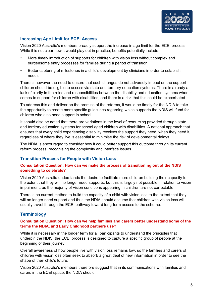

# <span id="page-5-0"></span>**Increasing Age Limit for ECEI Access**

Vision 2020 Australia's members broadly support the increase in age limit for the ECEI process. While it is not clear how it would play out in practice, benefits potentially include:

- More timely introduction of supports for children with vision loss without complex and burdensome entry processes for families during a period of transition.
- Better capturing of milestones in a child's development by clinicians in order to establish needs.

There is however the need to ensure that such changes do not adversely impact on the support children should be eligible to access via state and territory education systems. There is already a lack of clarity in the roles and responsibilities between the disability and education systems when it comes to support for children with disabilities, and there is a risk that this could be exacerbated.

To address this and deliver on the promise of the reforms, it would be timely for the NDIA to take the opportunity to create more specific guidelines regarding which supports the NDIS will fund for children who also need support in school.

It should also be noted that there are variations in the level of resourcing provided through state and territory education systems for school aged children with disabilities. A national approach that ensures that every child experiencing disability receives the support they need, when they need it, regardless of where they live is essential to minimise the risk of developmental delays.

The NDIA is encouraged to consider how it could better support this outcome through its current reform process, recognising the complexity and interface issues.

# <span id="page-5-1"></span>**Transition Process for People with Vision Loss**

### **Consultation Question: How can we make the process of transitioning out of the NDIS something to celebrate?**

Vision 2020 Australia understands the desire to facilitate more children building their capacity to the extent that they will no longer need supports, but this is largely not possible in relation to vision impairment, as the majority of vision conditions appearing in children are not correctable.

There is no current method to build the capacity of a child with vision loss to the extent that they will no longer need support and thus the NDIA should assume that children with vision loss will usually travel through the ECEI pathway toward long-term access to the scheme.

# <span id="page-5-2"></span>**Terminology**

#### **Consultation Question: How can we help families and carers better understand some of the terms the NDIA, and Early Childhood partners use?**

While it is necessary in the longer term for all participants to understand the principles that underpin the NDIS, the ECEI process is designed to capture a specific group of people at the beginning of their journey.

Overall awareness of how people live with vision loss remains low, so the families and carers of children with vision loss often seek to absorb a great deal of new information in order to see the shape of their child's future.

Vision 2020 Australia's members therefore suggest that in its communications with families and carers in the ECEI space, the NDIA should: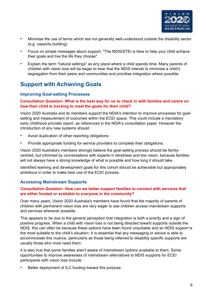

- Minimise the use of terms which are not generally well-understood outside the disability sector (e.g. capacity building)
- Focus on simple messages about support. "The NDIS/STEI is here to help your child achieve their goals and live the life they choose".
- Explain the term "natural settings" as any place where a child spends time. Many parents of children with vision loss will be eager to hear that the NDIS intends to minimise a child's segregation from their peers and communities and prioritise integration where possible.

# <span id="page-6-0"></span>**Support with Achieving Goals**

### <span id="page-6-1"></span>**Improving Goal-setting Processes**

### **Consultation Question: What is the best way for us to check in with families and carers on how their child is tracking to meet the goals for their child?**

Vision 2020 Australia and its members support the NDIA's intention to improve processes for goalsetting and measurement of outcomes within the ECEI space. This could include a mandatory early childhood provider report, as referenced in the NDIA's consultation paper. However the introduction of any new systems should:

- Avoid duplication of other reporting obligations.
- Provide appropriate funding for service providers to complete their obligations.

Vision 2020 Australia's members strongly believe the goal-setting process should be familycentred, but informed by conversations with experts in blindness and low vision, because families will not always have a strong knowledge of what is possible and how long it should take.

Identified learning and development goals for this cohort should be achievable but appropriately ambitious in order to make best use of the ECEI process.

### <span id="page-6-2"></span>**Accessing Mainstream Supports**

#### **Consultation Question: How can we better support families to connect with services that are either funded or available to everyone in the community?**

Over many years, Vision 2020 Australia's members have found that the majority of parents of children with permanent vision loss are very eager to see children access mainstream supports and services wherever possible.

This appears to be due to the general perception that integration is both a priority and a sign of positive progress. When a child with vision loss is not being directed toward supports outside the NDIS, this can often be because these options have been found unsuitable and an NDIS support is the most suitable to the child's situation. It is essential that any messaging or advice is able to accommodate this nuance, particularly as those being referred to disability specific supports are usually those who most need them.

It is also true that some families aren't aware of mainstream options available to them. Some opportunities to improve awareness of mainstream alternatives to NDIS supports for ECEI participants with vision loss include:

Better deployment of ILC funding toward this purpose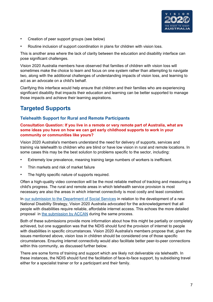

- Creation of peer support groups (see below)
- Routine inclusion of support coordination in plans for children with vision loss.

This is another area where the lack of clarity between the education and disability interface can pose significant challenges.

Vision 2020 Australia members have observed that families of children with vision loss will sometimes make the choice to learn and focus on one system rather than attempting to navigate two, along with the additional challenges of understanding impacts of vision loss, and learning to act as an advocate on a child's behalf.

Clarifying this interface would help ensure that children and their families who are experiencing significant disability that impacts their education and learning can be better supported to manage those impacts and achieve their learning aspirations.

# <span id="page-7-0"></span>**Targeted Supports**

### <span id="page-7-1"></span>**Telehealth Support for Rural and Remote Participants**

### **Consultation Question: If you live in a remote or very remote part of Australia, what are some ideas you have on how we can get early childhood supports to work in your community or communities like yours?**

Vision 2020 Australia's members understand the need for delivery of supports, services and training via telehealth to children who are blind or have low vision in rural and remote locations. In some cases this may be the best solution to problems specific to the sector, including:

- Extremely low prevalence, meaning training large numbers of workers is inefficient.
- Thin markets and risk of market failure
- The highly specific nature of supports required.

Often a high-quality video connection will be the most reliable method of tracking and measuring a child's progress. The rural and remote areas in which telehealth service provision is most necessary are also the areas in which internet connectivity is most costly and least consistent.

In [our submission to the Department of Social Services](https://www.vision2020australia.org.au/resources/submission-to-the-department-of-social-services-a-new-national-disability-strategy/) in relation to the development of a new National Disability Strategy, Vision 2020 Australia advocated for the acknowledgement that all people with disabilities require reliable, affordable internet access. This echoes the more detailed proposal in [the submission by ACCAN](https://accan.org.au/our-work/submissions/1814-national-disability-strategy-stage-2) during the same process.

Both of these submissions provide more information about how this might be partially or completely achieved, but one suggestion was that the NDIS should fund the provision of internet to people with disabilities in specific circumstances. Vision 2020 Australia's members propose that, given the issues mentioned above, vision loss in children should be considered one of those specific circumstances. Ensuring internet connectivity would also facilitate better peer-to-peer connections within this community, as discussed further below.

There are some forms of training and support which are likely not deliverable via telehealth. In these instances, the NDIS should fund the facilitation of face-to-face support, by subsidising travel either for a specialist trainer or for a participant and their family.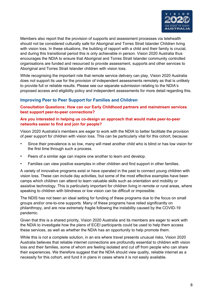

Members also report that the provision of supports and assessment processes via telehealth should not be considered culturally safe for Aboriginal and Torres Strait Islander Children living with vision loss. In these situations, the building of rapport with a child and their family is crucial, and during this transitional period this is only achievable in person. Vision 2020 Australia thus encourages the NDIA to ensure that Aboriginal and Torres Strait Islander community controlled organisations are funded and resourced to provide assessment, supports and other services to Aboriginal and Torres Strait Islander children with vision loss.

While recognising the important role that remote service delivery can play, Vision 2020 Australia does not support its use for the provision of independent assessments remotely as that is unlikely to provide full or reliable results. Please see our separate submission relating to the NDIA's proposed access and eligibility policy and independent assessments for more detail regarding this.

### <span id="page-8-0"></span>**Improving Peer to Peer Support for Families and Children**

**Consultation Questions: How can our Early Childhood partners and mainstream services best support peer-to-peer connections?**

#### **Are you interested in helping us co-design an approach that would make peer-to-peer networks easier to find and join for people?**

Vision 2020 Australia's members are eager to work with the NDIA to better facilitate the provision of peer support for children with vision loss. This can be particularly vital for this cohort, because:

- Since their prevalence is so low, many will meet another child who is blind or has low vision for the first time through such a process.
- Peers of a similar age can inspire one another to learn and develop.
- Families can view positive examples in other children and find support in other families.

A variety of innovative programs exist or have operated in the past to connect young children with vision loss. These can include day activities, but some of the most effective examples have been camps which children can attend to learn valuable skills such as orientation and mobility or assistive technology. This is particularly important for children living in remote or rural areas, where speaking to children with blindness or low vision can be difficult or impossible.

The NDIS has not been an ideal setting for funding of these programs due to the focus on small groups and/or one-to-one supports. Many of these programs have relied significantly on philanthropy, and are now extremely fragile following the instability caused by the COVID-19 pandemic.

Given that this is a shared priority, Vision 2020 Australia and its members are eager to work with the NDIA to investigate how the plans of ECEI participants could be used to help them access these services, as well as whether the NDIA has an opportunity to help promote them.

While this is not a complete solution, in an era where travel presents unusual risks, Vision 2020 Australia believes that reliable internet connections are profoundly essential to children with vision loss and their families, some of whom are feeling isolated and cut off from people who can share their experiences. We therefore suggest that the NDIA should view quality, reliable internet as a necessity for this cohort, and fund it in plans in cases where it is not easily available.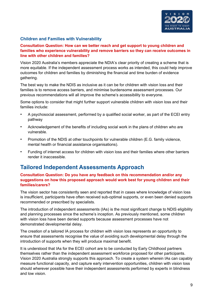

### <span id="page-9-0"></span>**Children and Families with Vulnerability**

#### **Consultation Question: How can we better reach and get support to young children and families who experience vulnerability and remove barriers so they can receive outcomes in line with other children and families?**

Vision 2020 Australia's members appreciate the NDIA's clear priority of creating a scheme that is more equitable. If the independent assessment process works as intended, this could help improve outcomes for children and families by diminishing the financial and time burden of evidence gathering.

The best way to make the NDIS as inclusive as it can be for children with vision loss and their families is to remove access barriers, and minimise burdensome assessment processes. Our previous recommendations will all improve the scheme's accessibility to everyone.

Some options to consider that might further support vulnerable children with vision loss and their families include:

- A psychosocial assessment, performed by a qualified social worker, as part of the ECEI entry pathway
- Acknowledgement of the benefits of including social work in the plans of children who are vulnerable.
- Promotion of the NDIS at other touchpoints for vulnerable children (E.G. family violence, mental health or financial assistance organisations).
- Funding of internet access for children with vision loss and their families where other barriers render it inaccessible.

# <span id="page-9-1"></span>**Tailored Independent Assessments Approach**

#### **Consultation Question: Do you have any feedback on this recommendation and/or any suggestions on how this proposed approach would work best for young children and their families/carers?**

The vision sector has consistently seen and reported that in cases where knowledge of vision loss is insufficient, participants have often received sub-optimal supports, or even been denied supports recommended or prescribed by specialists.

The introduction of independent assessments (IAs) is the most significant change to NDIS eligibility and planning processes since the scheme's inception. As previously mentioned, some children with vision loss have been denied supports because assessment processes have not demonstrated developmental delay.

The creation of a tailored IA process for children with vision loss represents an opportunity to ensure that assessments recognise the value of avoiding such developmental delay through the introduction of supports when they will produce maximal benefit.

It is understood that IAs for the ECEI cohort are to be conducted by Early Childhood partners themselves rather than the independent assessment workforce proposed for other participants. Vision 2020 Australia strongly supports this approach. To create a system wherein IAs can capably measure functional capacity, and capture early intervention opportunities, children with vision loss should wherever possible have their independent assessments performed by experts in blindness and low vision.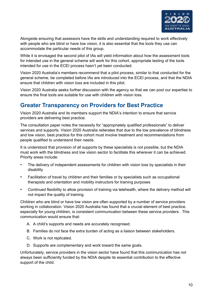

Alongside ensuring that assessors have the skills and understanding required to work effectively with people who are blind or have low vision, it is also essential that the tools they use can accommodate the particular needs of this group.

While it is envisaged the second pilot of IAs will yield information about how the assessment tools for intended use in the general scheme will work for this cohort, appropriate testing of the tools intended for use in the ECEI process hasn't yet been conducted.

Vision 2020 Australia's members recommend that a pilot process, similar to that conducted for the general scheme, be completed before IAs are introduced into the ECEI process, and that the NDIA ensure that children with vision loss are included in this pilot.

Vision 2020 Australia seeks further discussion with the agency so that we can pool our expertise to ensure the final tools are suitable for use with children with vision loss.

# <span id="page-10-0"></span>**Greater Transparency on Providers for Best Practice**

Vision 2020 Australia and its members support the NDIA's intention to ensure that service providers are delivering best practice.

The consultation paper notes the necessity for "appropriately qualified professionals" to deliver services and supports. Vision 2020 Australia reiterates that due to the low prevalence of blindness and low vision, best practice for this cohort must involve treatment and recommendations from people qualified to understand their needs.

It is understood that provision of all supports by these specialists is not possible, but the NDIA must work with the blindness and low vision sector to facilitate this wherever it can be achieved. Priority areas include:

- The delivery of independent assessments for children with vision loss by specialists in their disability
- Facilitation of travel by children and their families or by specialists such as occupational therapists and orientation and mobility instructors for training purposes
- Continued flexibility to allow provision of training via telehealth, where the delivery method will not impact the quality of training.

Children who are blind or have low vision are often supported by a number of service providers working in collaboration. Vision 2020 Australia has found that a crucial element of best practice, especially for young children, is consistent communication between these service providers . This communication would ensure that:

- A. A child's supports and needs are accurately recognised.
- B. Families do not face the extra burden of acting as a liaison between stakeholders.
- C. Work is not replicated.
- D. Supports are complementary and work toward the same goals.

Unfortunately, service providers in the vision sector have found that this communication has not always been sufficiently funded by the NDIA despite its essential contribution to the effective support of the child.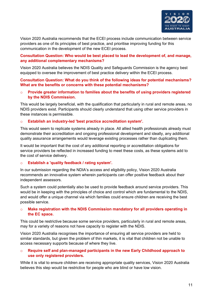

Vision 2020 Australia recommends that the ECEI process include communication between service providers as one of its principles of best practice, and prioritise improving funding for this communication in the development of the new ECEI process.

### **Consultation Question: Who would be best placed to lead the development of, and manage, any additional complementary mechanisms?**

Vision 2020 Australia believes the NDIS Quality and Safeguards Commission is the agency best equipped to oversee the improvement of best practice delivery within the ECEI process.

#### **Consultation Question: What do you think of the following ideas for potential mechanisms? What are the benefits or concerns with these potential mechanisms?**

o **Provide greater information to families about the benefits of using providers registered by the NDIS Commission.**

This would be largely beneficial, with the qualification that particularly in rural and remote areas, no NDIS providers exist. Participants should clearly understand that using other service providers in these instances is permissible.

#### o **Establish an industry-led 'best practice accreditation system'.**

This would seem to replicate systems already in place. All allied health professionals already must demonstrate their accreditation and ongoing professional development and ideally, any additional quality assurance arrangements would leverage existing processes rather than duplicating them.

It would be important that the cost of any additional reporting or accreditation obligations for service providers be reflected in increased funding to meet these costs, as these systems add to the cost of service delivery.

#### o **Establish a 'quality feedback / rating system'.**

In our submission regarding the NDIA's access and eligibility policy, Vision 2020 Australia recommends an innovative system wherein participants can offer positive feedback about their independent assessors.

Such a system could potentially also be used to provide feedback around service providers. This would be in keeping with the principles of choice and control which are fundamental to the NDIS, and would offer a unique channel via which families could ensure children are receiving the best possible service.

#### o **Make registration with the NDIS Commission mandatory for all providers operating in the EC space.**

This could be restrictive because some service providers, particularly in rural and remote areas, may for a variety of reasons not have capacity to register with the NDIS.

Vision 2020 Australia recognises the importance of ensuring all service providers are held to similar standards, but given the problem of thin markets, it is vital that children not be unable to access necessary supports because of where they live.

#### o **Require self and plan-managed participants in the new Early Childhood approach to use only registered providers.**

While it is vital to ensure children are receiving appropriate quality services, Vision 2020 Australia believes this step would be restrictive for people who are blind or have low vision.